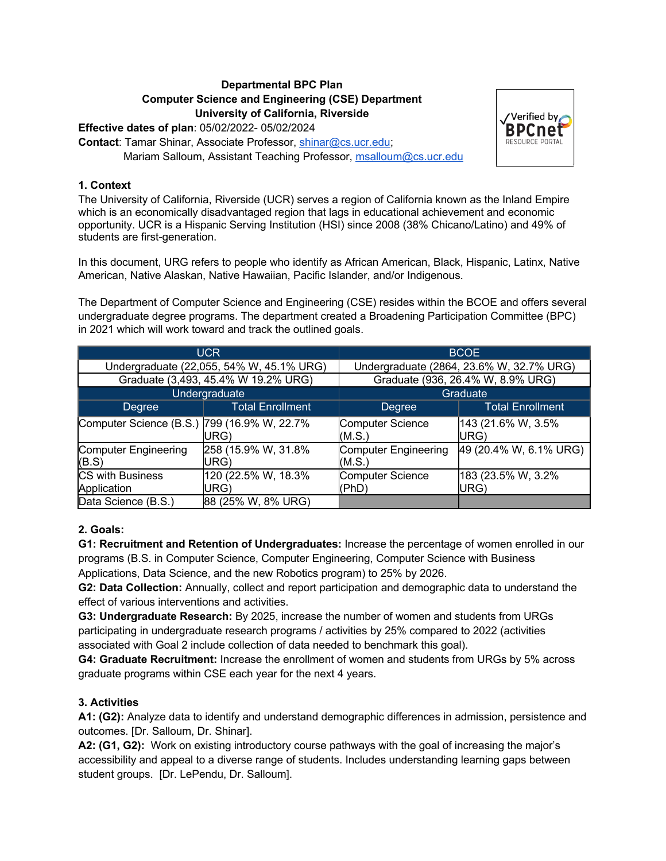## **Departmental BPC Plan Computer Science and Engineering (CSE) Department University of California, Riverside**

**Effective dates of plan**: 05/02/2022- 05/02/2024

**Contact**: Tamar Shinar, Associate Professor, shinar@cs.ucr.edu; Mariam Salloum, Assistant Teaching Professor, msalloum@cs.ucr.edu



The University of California, Riverside (UCR) serves a region of California known as the Inland Empire which is an economically disadvantaged region that lags in educational achievement and economic opportunity. UCR is a Hispanic Serving Institution (HSI) since 2008 (38% Chicano/Latino) and 49% of students are first-generation.

In this document, URG refers to people who identify as African American, Black, Hispanic, Latinx, Native American, Native Alaskan, Native Hawaiian, Pacific Islander, and/or Indigenous.

The Department of Computer Science and Engineering (CSE) resides within the BCOE and offers several undergraduate degree programs. The department created a Broadening Participation Committee (BPC) in 2021 which will work toward and track the outlined goals.

| <b>UCR</b>                                  |                             | <b>BCOE</b>                              |                             |
|---------------------------------------------|-----------------------------|------------------------------------------|-----------------------------|
| Undergraduate (22,055, 54% W, 45.1% URG)    |                             | Undergraduate (2864, 23.6% W, 32.7% URG) |                             |
| Graduate (3,493, 45.4% W 19.2% URG)         |                             | Graduate (936, 26.4% W, 8.9% URG)        |                             |
| Undergraduate                               |                             | Graduate                                 |                             |
| Degree                                      | <b>Total Enrollment</b>     | Degree                                   | <b>Total Enrollment</b>     |
| Computer Science (B.S.) 799 (16.9% W, 22.7% | URG)                        | <b>Computer Science</b><br>(M.S.)        | 143 (21.6% W, 3.5%<br>IURG) |
| <b>Computer Engineering</b><br>(B.S)        | 258 (15.9% W, 31.8%<br>URG) | <b>Computer Engineering</b><br>(M.S.)    | 49 (20.4% W, 6.1% URG)      |
| <b>CS with Business</b><br>Application      | 120 (22.5% W, 18.3%<br>URG) | <b>Computer Science</b><br>(PhD)         | 183 (23.5% W, 3.2%<br>URG)  |
| Data Science (B.S.)                         | 88 (25% W, 8% URG)          |                                          |                             |

## **2. Goals:**

**G1: Recruitment and Retention of Undergraduates:** Increase the percentage of women enrolled in our programs (B.S. in Computer Science, Computer Engineering, Computer Science with Business Applications, Data Science, and the new Robotics program) to 25% by 2026.

**G2: Data Collection:** Annually, collect and report participation and demographic data to understand the effect of various interventions and activities.

**G3: Undergraduate Research:** By 2025, increase the number of women and students from URGs participating in undergraduate research programs / activities by 25% compared to 2022 (activities associated with Goal 2 include collection of data needed to benchmark this goal).

**G4: Graduate Recruitment:** Increase the enrollment of women and students from URGs by 5% across graduate programs within CSE each year for the next 4 years.

## **3. Activities**

**A1: (G2):** Analyze data to identify and understand demographic differences in admission, persistence and outcomes. [Dr. Salloum, Dr. Shinar].

**A2: (G1, G2):** Work on existing introductory course pathways with the goal of increasing the major's accessibility and appeal to a diverse range of students. Includes understanding learning gaps between student groups. [Dr. LePendu, Dr. Salloum].